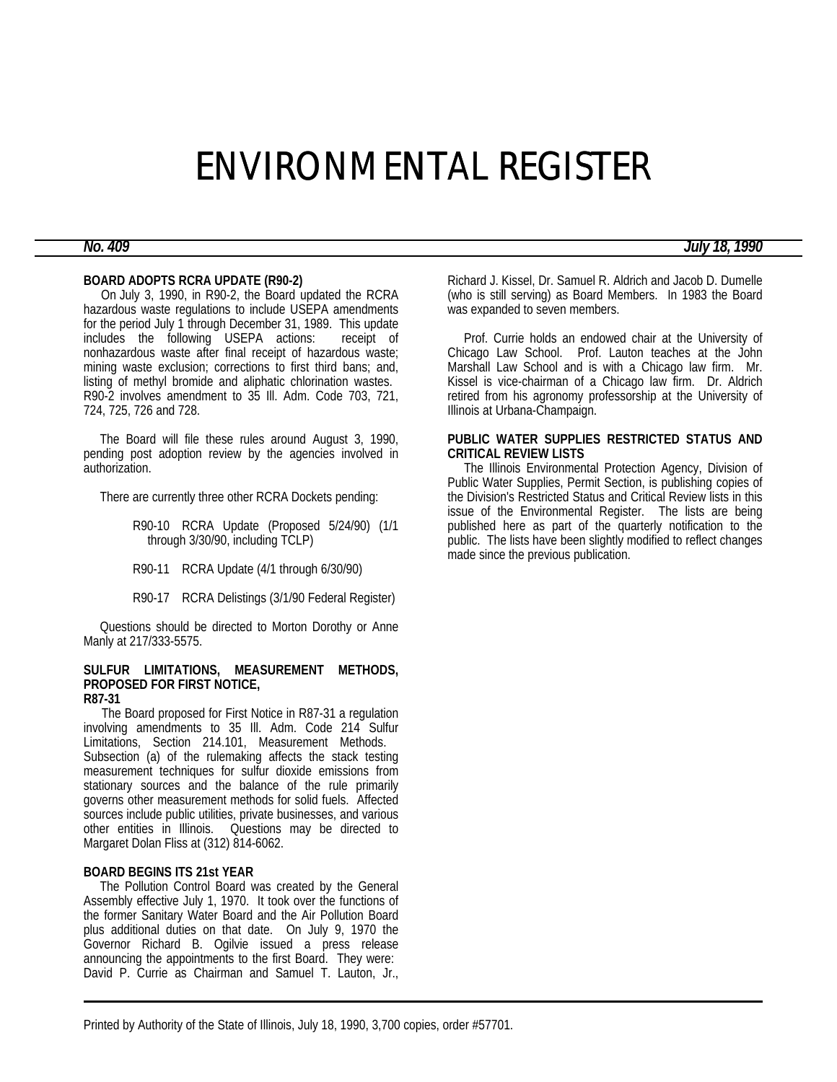# ENVIRONMENTAL REGISTER

#### **BOARD ADOPTS RCRA UPDATE (R90-2)**

 On July 3, 1990, in R90-2, the Board updated the RCRA hazardous waste regulations to include USEPA amendments for the period July 1 through December 31, 1989. This update includes the following USEPA actions: receipt of nonhazardous waste after final receipt of hazardous waste; mining waste exclusion; corrections to first third bans; and, listing of methyl bromide and aliphatic chlorination wastes. R90-2 involves amendment to 35 Ill. Adm. Code 703, 721, 724, 725, 726 and 728.

 The Board will file these rules around August 3, 1990, pending post adoption review by the agencies involved in authorization.

There are currently three other RCRA Dockets pending:

R90-10 RCRA Update (Proposed 5/24/90) (1/1 through 3/30/90, including TCLP)

R90-11 RCRA Update (4/1 through 6/30/90)

R90-17 RCRA Delistings (3/1/90 Federal Register)

 Questions should be directed to Morton Dorothy or Anne Manly at 217/333-5575.

# **SULFUR LIMITATIONS, MEASUREMENT METHODS, PROPOSED FOR FIRST NOTICE,**

## **R87-31**

 The Board proposed for First Notice in R87-31 a regulation involving amendments to 35 Ill. Adm. Code 214 Sulfur Limitations, Section 214.101, Measurement Methods. Subsection (a) of the rulemaking affects the stack testing measurement techniques for sulfur dioxide emissions from stationary sources and the balance of the rule primarily governs other measurement methods for solid fuels. Affected sources include public utilities, private businesses, and various other entities in Illinois. Questions may be directed to Margaret Dolan Fliss at (312) 814-6062.

#### **BOARD BEGINS ITS 21st YEAR**

 The Pollution Control Board was created by the General Assembly effective July 1, 1970. It took over the functions of the former Sanitary Water Board and the Air Pollution Board plus additional duties on that date. On July 9, 1970 the Governor Richard B. Ogilvie issued a press release announcing the appointments to the first Board. They were: David P. Currie as Chairman and Samuel T. Lauton, Jr., Richard J. Kissel, Dr. Samuel R. Aldrich and Jacob D. Dumelle (who is still serving) as Board Members. In 1983 the Board was expanded to seven members.

 Prof. Currie holds an endowed chair at the University of Chicago Law School. Prof. Lauton teaches at the John Marshall Law School and is with a Chicago law firm. Mr. Kissel is vice-chairman of a Chicago law firm. Dr. Aldrich retired from his agronomy professorship at the University of Illinois at Urbana-Champaign.

### **PUBLIC WATER SUPPLIES RESTRICTED STATUS AND CRITICAL REVIEW LISTS**

 The Illinois Environmental Protection Agency, Division of Public Water Supplies, Permit Section, is publishing copies of the Division's Restricted Status and Critical Review lists in this issue of the Environmental Register. The lists are being published here as part of the quarterly notification to the public. The lists have been slightly modified to reflect changes made since the previous publication.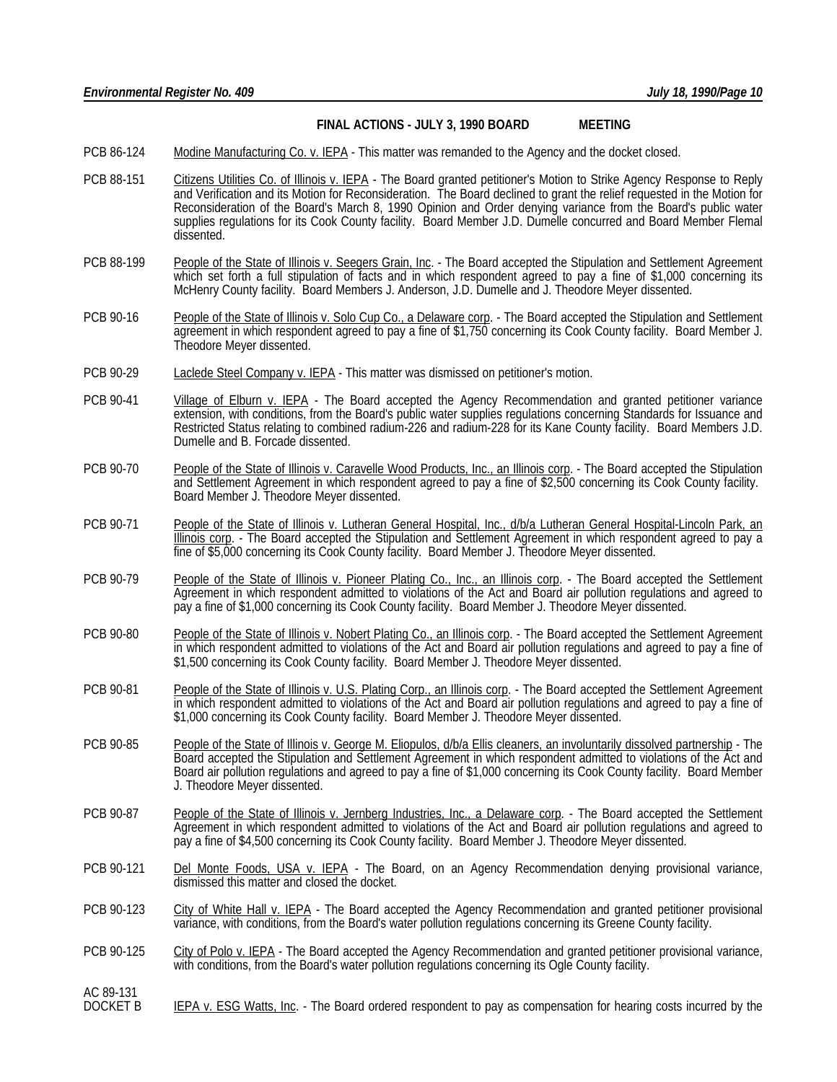#### **FINAL ACTIONS - JULY 3, 1990 BOARD MEETING**

- PCB 86-124 Modine Manufacturing Co. v. IEPA This matter was remanded to the Agency and the docket closed.
- PCB 88-151 Citizens Utilities Co. of Illinois v. IEPA The Board granted petitioner's Motion to Strike Agency Response to Reply and Verification and its Motion for Reconsideration. The Board declined to grant the relief requested in the Motion for Reconsideration of the Board's March 8, 1990 Opinion and Order denying variance from the Board's public water supplies regulations for its Cook County facility. Board Member J.D. Dumelle concurred and Board Member Flemal dissented.
- PCB 88-199 People of the State of Illinois v. Seegers Grain, Inc. The Board accepted the Stipulation and Settlement Agreement which set forth a full stipulation of facts and in which respondent agreed to pay a fine of \$1,000 concerning its McHenry County facility. Board Members J. Anderson, J.D. Dumelle and J. Theodore Meyer dissented.
- PCB 90-16 People of the State of Illinois v. Solo Cup Co., a Delaware corp. The Board accepted the Stipulation and Settlement agreement in which respondent agreed to pay a fine of \$1,750 concerning its Cook County facility. Board Member J. Theodore Meyer dissented.
- PCB 90-29 Laclede Steel Company v. IEPA This matter was dismissed on petitioner's motion.
- PCB 90-41 Village of Elburn v. IEPA The Board accepted the Agency Recommendation and granted petitioner variance extension, with conditions, from the Board's public water supplies regulations concerning Standards for Issuance and Restricted Status relating to combined radium-226 and radium-228 for its Kane County facility. Board Members J.D. Dumelle and B. Forcade dissented.
- PCB 90-70 People of the State of Illinois v. Caravelle Wood Products, Inc., an Illinois corp. The Board accepted the Stipulation and Settlement Agreement in which respondent agreed to pay a fine of \$2,500 concerning its Cook County facility. Board Member J. Theodore Meyer dissented.
- PCB 90-71 People of the State of Illinois v. Lutheran General Hospital, Inc., d/b/a Lutheran General Hospital-Lincoln Park, an Illinois corp. - The Board accepted the Stipulation and Settlement Agreement in which respondent agreed to pay a fine of \$5,000 concerning its Cook County facility. Board Member J. Theodore Meyer dissented.
- PCB 90-79 People of the State of Illinois v. Pioneer Plating Co., Inc., an Illinois corp. The Board accepted the Settlement Agreement in which respondent admitted to violations of the Act and Board air pollution regulations and agreed to pay a fine of \$1,000 concerning its Cook County facility. Board Member J. Theodore Meyer dissented.
- PCB 90-80 People of the State of Illinois v. Nobert Plating Co., an Illinois corp. The Board accepted the Settlement Agreement in which respondent admitted to violations of the Act and Board air pollution regulations and agreed to pay a fine of \$1,500 concerning its Cook County facility. Board Member J. Theodore Meyer dissented.
- PCB 90-81 People of the State of Illinois v. U.S. Plating Corp., an Illinois corp. The Board accepted the Settlement Agreement in which respondent admitted to violations of the Act and Board air pollution regulations and agreed to pay a fine of \$1,000 concerning its Cook County facility. Board Member J. Theodore Meyer dissented.
- PCB 90-85 People of the State of Illinois v. George M. Eliopulos, d/b/a Ellis cleaners, an involuntarily dissolved partnership The Board accepted the Stipulation and Settlement Agreement in which respondent admitted to violations of the Act and Board air pollution regulations and agreed to pay a fine of \$1,000 concerning its Cook County facility. Board Member J. Theodore Meyer dissented.
- PCB 90-87 People of the State of Illinois v. Jernberg Industries, Inc., a Delaware corp. The Board accepted the Settlement Agreement in which respondent admitted to violations of the Act and Board air pollution regulations and agreed to pay a fine of \$4,500 concerning its Cook County facility. Board Member J. Theodore Meyer dissented.
- PCB 90-121 Del Monte Foods, USA v. IEPA The Board, on an Agency Recommendation denying provisional variance, dismissed this matter and closed the docket.
- PCB 90-123 City of White Hall v. IEPA The Board accepted the Agency Recommendation and granted petitioner provisional variance, with conditions, from the Board's water pollution regulations concerning its Greene County facility.
- PCB 90-125 City of Polo v. IEPA The Board accepted the Agency Recommendation and granted petitioner provisional variance, with conditions, from the Board's water pollution regulations concerning its Ogle County facility.
- AC 89-131<br>DOCKET B IEPA v. ESG Watts, Inc. - The Board ordered respondent to pay as compensation for hearing costs incurred by the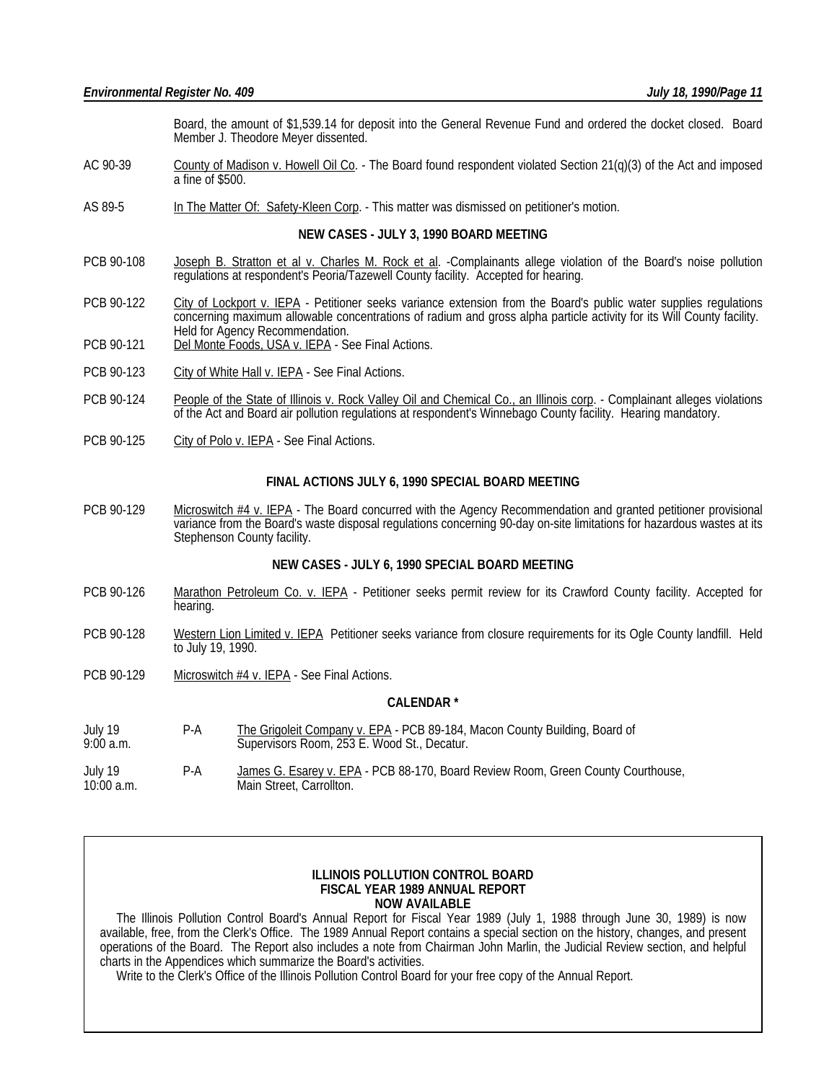Board, the amount of \$1,539.14 for deposit into the General Revenue Fund and ordered the docket closed. Board Member J. Theodore Meyer dissented.

- AC 90-39 County of Madison v. Howell Oil Co. The Board found respondent violated Section 21(q)(3) of the Act and imposed a fine of \$500.
- AS 89-5 In The Matter Of: Safety-Kleen Corp. This matter was dismissed on petitioner's motion.

#### **NEW CASES - JULY 3, 1990 BOARD MEETING**

- PCB 90-108 Joseph B. Stratton et al v. Charles M. Rock et al. -Complainants allege violation of the Board's noise pollution regulations at respondent's Peoria/Tazewell County facility. Accepted for hearing.
- PCB 90-122 City of Lockport v. IEPA Petitioner seeks variance extension from the Board's public water supplies regulations concerning maximum allowable concentrations of radium and gross alpha particle activity for its Will County facility. Held for Agency Recommendation.
- PCB 90-121 Del Monte Foods, USA v. IEPA See Final Actions.
- PCB 90-123 City of White Hall v. IEPA See Final Actions.
- PCB 90-124 People of the State of Illinois v. Rock Valley Oil and Chemical Co., an Illinois corp. Complainant alleges violations of the Act and Board air pollution regulations at respondent's Winnebago County facility. Hearing mandatory.
- PCB 90-125 City of Polo v. IEPA See Final Actions.

#### **FINAL ACTIONS JULY 6, 1990 SPECIAL BOARD MEETING**

PCB 90-129 Microswitch #4 v. IEPA - The Board concurred with the Agency Recommendation and granted petitioner provisional variance from the Board's waste disposal regulations concerning 90-day on-site limitations for hazardous wastes at its Stephenson County facility.

#### **NEW CASES - JULY 6, 1990 SPECIAL BOARD MEETING**

- PCB 90-126 Marathon Petroleum Co. v. IEPA Petitioner seeks permit review for its Crawford County facility. Accepted for hearing.
- PCB 90-128 Western Lion Limited v. IEPA Petitioner seeks variance from closure requirements for its Ogle County landfill. Held to July 19, 1990.
- PCB 90-129 Microswitch #4 v. IEPA See Final Actions.

#### **CALENDAR \***

July 19 P-A The Grigoleit Company v. EPA - PCB 89-184, Macon County Building, Board of July 19. Supervisors Room, 253 E. Wood St., Decatur. Supervisors Room, 253 E. Wood St., Decatur.

July 19 P-A James G. Esarey v. EPA - PCB 88-170, Board Review Room, Green County Courthouse, 10:00 a.m. Main Street, Carrollton.

#### **ILLINOIS POLLUTION CONTROL BOARD FISCAL YEAR 1989 ANNUAL REPORT NOW AVAILABLE**

 The Illinois Pollution Control Board's Annual Report for Fiscal Year 1989 (July 1, 1988 through June 30, 1989) is now available, free, from the Clerk's Office. The 1989 Annual Report contains a special section on the history, changes, and present operations of the Board. The Report also includes a note from Chairman John Marlin, the Judicial Review section, and helpful charts in the Appendices which summarize the Board's activities.

Write to the Clerk's Office of the Illinois Pollution Control Board for your free copy of the Annual Report.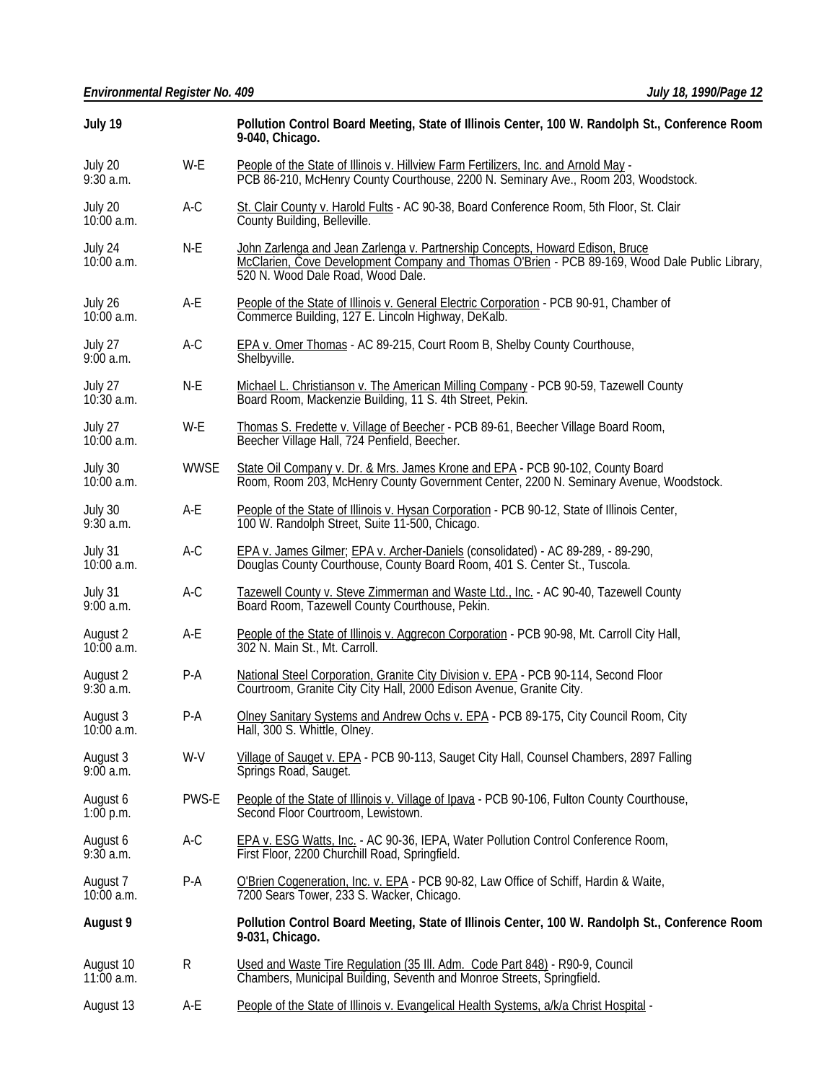| July 19                   |             | Pollution Control Board Meeting, State of Illinois Center, 100 W. Randolph St., Conference Room<br>9-040, Chicago.                                                                                                   |  |  |  |
|---------------------------|-------------|----------------------------------------------------------------------------------------------------------------------------------------------------------------------------------------------------------------------|--|--|--|
| July 20<br>$9:30$ a.m.    | W-E         | People of the State of Illinois v. Hillview Farm Fertilizers, Inc. and Arnold May -<br>PCB 86-210, McHenry County Courthouse, 2200 N. Seminary Ave., Room 203, Woodstock.                                            |  |  |  |
| July 20<br>$10:00$ a.m.   | $A-C$       | St. Clair County v. Harold Fults - AC 90-38, Board Conference Room, 5th Floor, St. Clair<br>County Building, Belleville.                                                                                             |  |  |  |
| July 24<br>$10:00$ a.m.   | N-E         | John Zarlenga and Jean Zarlenga v. Partnership Concepts, Howard Edison, Bruce<br>McClarien, Čove Development Company and Thomas O'Brien - PCB 89-169, Wood Dale Public Library,<br>520 N. Wood Dale Road, Wood Dale. |  |  |  |
| July 26<br>$10:00$ a.m.   | A-E         | People of the State of Illinois v. General Electric Corporation - PCB 90-91, Chamber of<br>Commerce Building, 127 E. Lincoln Highway, DeKalb.                                                                        |  |  |  |
| July 27<br>9:00a.m.       | A-C         | EPA v. Omer Thomas - AC 89-215, Court Room B, Shelby County Courthouse,<br>Shelbyville.                                                                                                                              |  |  |  |
| July 27<br>$10:30$ a.m.   | N-E         | Michael L. Christianson v. The American Milling Company - PCB 90-59, Tazewell County<br>Board Room, Mackenzie Building, 11 S. 4th Street, Pekin.                                                                     |  |  |  |
| July 27<br>$10:00$ a.m.   | W-E         | Thomas S. Fredette v. Village of Beecher - PCB 89-61, Beecher Village Board Room,<br>Beecher Village Hall, 724 Penfield, Beecher.                                                                                    |  |  |  |
| July 30<br>$10:00$ a.m.   | <b>WWSE</b> | State Oil Company v. Dr. & Mrs. James Krone and EPA - PCB 90-102, County Board<br>Room, Room 203, McHenry County Government Center, 2200 N. Seminary Avenue, Woodstock.                                              |  |  |  |
| July 30<br>$9:30$ a.m.    | A-E         | People of the State of Illinois v. Hysan Corporation - PCB 90-12, State of Illinois Center,<br>100 W. Randolph Street, Suite 11-500, Chicago.                                                                        |  |  |  |
| July 31<br>$10:00$ a.m.   | $A-C$       | EPA v. James Gilmer; EPA v. Archer-Daniels (consolidated) - AC 89-289, - 89-290,<br>Douglas County Courthouse, County Board Room, 401 S. Center St., Tuscola.                                                        |  |  |  |
| July 31<br>$9:00$ a.m.    | $A-C$       | Tazewell County v. Steve Zimmerman and Waste Ltd., Inc. - AC 90-40, Tazewell County<br>Board Room, Tazewell County Courthouse, Pekin.                                                                                |  |  |  |
| August 2<br>$10:00$ a.m.  | A-E         | People of the State of Illinois v. Aggrecon Corporation - PCB 90-98, Mt. Carroll City Hall,<br>302 N. Main St., Mt. Carroll.                                                                                         |  |  |  |
| August 2<br>9:30a.m.      | $P-A$       | National Steel Corporation, Granite City Division v. EPA - PCB 90-114, Second Floor<br>Courtroom, Granite City City Hall, 2000 Edison Avenue, Granite City.                                                          |  |  |  |
| August 3<br>10:00 a.m.    | $P-A$       | Olney Sanitary Systems and Andrew Ochs v. EPA - PCB 89-175, City Council Room, City<br>Hall, 300 S. Whittle, Olney.                                                                                                  |  |  |  |
| August 3<br>9:00a.m.      | W-V         | Village of Sauget v. EPA - PCB 90-113, Sauget City Hall, Counsel Chambers, 2897 Falling<br>Springs Road, Sauget.                                                                                                     |  |  |  |
| August 6<br>$1:00$ p.m.   | PWS-E       | People of the State of Illinois v. Village of Ipava - PCB 90-106, Fulton County Courthouse,<br>Second Floor Courtroom, Lewistown.                                                                                    |  |  |  |
| August 6<br>$9:30$ a.m.   | A-C         | EPA v. ESG Watts, Inc. - AC 90-36, IEPA, Water Pollution Control Conference Room,<br>First Floor, 2200 Churchill Road, Springfield.                                                                                  |  |  |  |
| August 7<br>$10:00$ a.m.  | $P-A$       | O'Brien Cogeneration, Inc. v. EPA - PCB 90-82, Law Office of Schiff, Hardin & Waite,<br>7200 Sears Tower, 233 S. Wacker, Chicago.                                                                                    |  |  |  |
| August 9                  |             | Pollution Control Board Meeting, State of Illinois Center, 100 W. Randolph St., Conference Room<br>9-031, Chicago.                                                                                                   |  |  |  |
| August 10<br>$11:00$ a.m. | R           | Used and Waste Tire Regulation (35 III. Adm. Code Part 848) - R90-9, Council<br>Chambers, Municipal Building, Seventh and Monroe Streets, Springfield.                                                               |  |  |  |
| August 13                 | A-E         | People of the State of Illinois v. Evangelical Health Systems, a/k/a Christ Hospital -                                                                                                                               |  |  |  |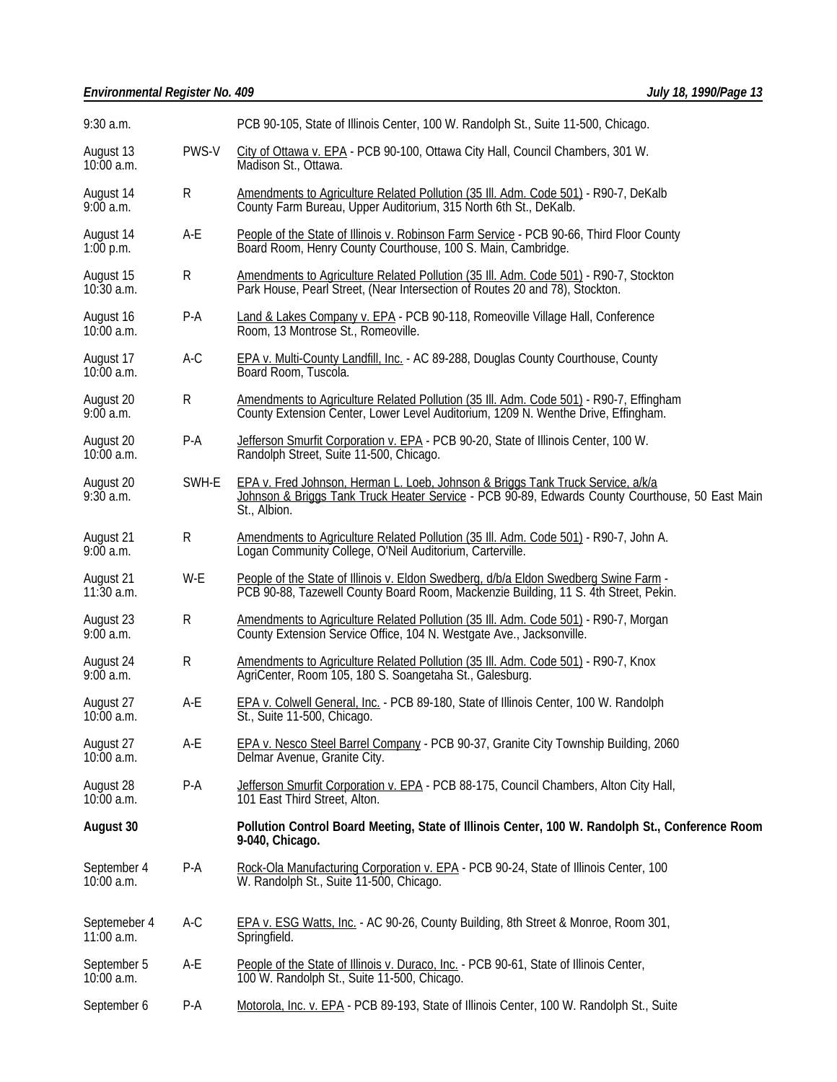| $9:30$ a.m.                  |       | PCB 90-105, State of Illinois Center, 100 W. Randolph St., Suite 11-500, Chicago.                                                                                                                  |  |  |  |
|------------------------------|-------|----------------------------------------------------------------------------------------------------------------------------------------------------------------------------------------------------|--|--|--|
| August 13<br>$10:00$ a.m.    | PWS-V | City of Ottawa v. EPA - PCB 90-100, Ottawa City Hall, Council Chambers, 301 W.<br>Madison St., Ottawa.                                                                                             |  |  |  |
| August 14<br>9:00a.m.        | R     | Amendments to Agriculture Related Pollution (35 III. Adm. Code 501) - R90-7, DeKalb<br>County Farm Bureau, Upper Auditorium, 315 North 6th St., DeKalb.                                            |  |  |  |
| August 14<br>$1:00$ p.m.     | A-E   | People of the State of Illinois v. Robinson Farm Service - PCB 90-66, Third Floor County<br>Board Room, Henry County Courthouse, 100 S. Main, Cambridge.                                           |  |  |  |
| August 15<br>$10:30$ a.m.    | R     | Amendments to Agriculture Related Pollution (35 III. Adm. Code 501) - R90-7, Stockton<br>Park House, Pearl Street, (Near Intersection of Routes 20 and 78), Stockton.                              |  |  |  |
| August 16<br>10:00 a.m.      | $P-A$ | Land & Lakes Company v. EPA - PCB 90-118, Romeoville Village Hall, Conference<br>Room, 13 Montrose St., Romeoville.                                                                                |  |  |  |
| August 17<br>$10:00$ a.m.    | A-C   | <b>EPA v. Multi-County Landfill, Inc. - AC 89-288, Douglas County Courthouse, County</b><br>Board Room, Tuscola.                                                                                   |  |  |  |
| August 20<br>9:00a.m.        | R     | Amendments to Agriculture Related Pollution (35 III. Adm. Code 501) - R90-7, Effingham<br>County Extension Center, Lower Level Auditorium, 1209 N. Wenthe Drive, Effingham.                        |  |  |  |
| August 20<br>$10:00$ a.m.    | $P-A$ | Jefferson Smurfit Corporation v. EPA - PCB 90-20, State of Illinois Center, 100 W.<br>Randolph Street, Suite 11-500, Chicago.                                                                      |  |  |  |
| August 20<br>9:30a.m.        | SWH-E | EPA v. Fred Johnson, Herman L. Loeb, Johnson & Briggs Tank Truck Service, a/k/a<br>Johnson & Briggs Tank Truck Heater Service - PCB 90-89, Edwards County Courthouse, 50 East Main<br>St., Albion. |  |  |  |
| August 21<br>9:00a.m.        | R     | Amendments to Agriculture Related Pollution (35 III. Adm. Code 501) - R90-7, John A.<br>Logan Community College, O'Neil Auditorium, Carterville.                                                   |  |  |  |
| August 21<br>$11:30$ a.m.    | W-E   | People of the State of Illinois v. Eldon Swedberg, d/b/a Eldon Swedberg Swine Farm -<br>PCB 90-88, Tazewell County Board Room, Mackenzie Building, 11 S. 4th Street, Pekin.                        |  |  |  |
| August 23<br>9:00a.m.        | R     | Amendments to Agriculture Related Pollution (35 III. Adm. Code 501) - R90-7, Morgan<br>County Extension Service Office, 104 N. Westgate Ave., Jacksonville.                                        |  |  |  |
| August 24<br>9:00a.m.        | R     | Amendments to Agriculture Related Pollution (35 III. Adm. Code 501) - R90-7, Knox<br>AgriCenter, Room 105, 180 S. Soangetaha St., Galesburg.                                                       |  |  |  |
| August 27<br>$10:00$ a.m.    | A-E   | EPA v. Colwell General, Inc. - PCB 89-180, State of Illinois Center, 100 W. Randolph<br>St., Suite 11-500, Chicago.                                                                                |  |  |  |
| August 27<br>10:00 a.m.      | A-E   | <b>EPA v. Nesco Steel Barrel Company - PCB 90-37, Granite City Township Building, 2060</b><br>Delmar Avenue, Granite City.                                                                         |  |  |  |
| August 28<br>$10:00$ a.m.    | $P-A$ | Jefferson Smurfit Corporation v. EPA - PCB 88-175, Council Chambers, Alton City Hall,<br>101 East Third Street, Alton.                                                                             |  |  |  |
| August 30                    |       | Pollution Control Board Meeting, State of Illinois Center, 100 W. Randolph St., Conference Room<br>9-040, Chicago.                                                                                 |  |  |  |
| September 4<br>10:00 a.m.    | $P-A$ | Rock-Ola Manufacturing Corporation v. EPA - PCB 90-24, State of Illinois Center, 100<br>W. Randolph St., Suite 11-500, Chicago.                                                                    |  |  |  |
| Septemeber 4<br>$11:00$ a.m. | $A-C$ | EPA v. ESG Watts, Inc. - AC 90-26, County Building, 8th Street & Monroe, Room 301,<br>Springfield.                                                                                                 |  |  |  |
| September 5<br>10:00 a.m.    | A-E   | People of the State of Illinois v. Duraco, Inc. - PCB 90-61, State of Illinois Center,<br>100 W. Randolph St., Suite 11-500, Chicago.                                                              |  |  |  |
| September 6                  | P-A   | Motorola, Inc. v. EPA - PCB 89-193, State of Illinois Center, 100 W. Randolph St., Suite                                                                                                           |  |  |  |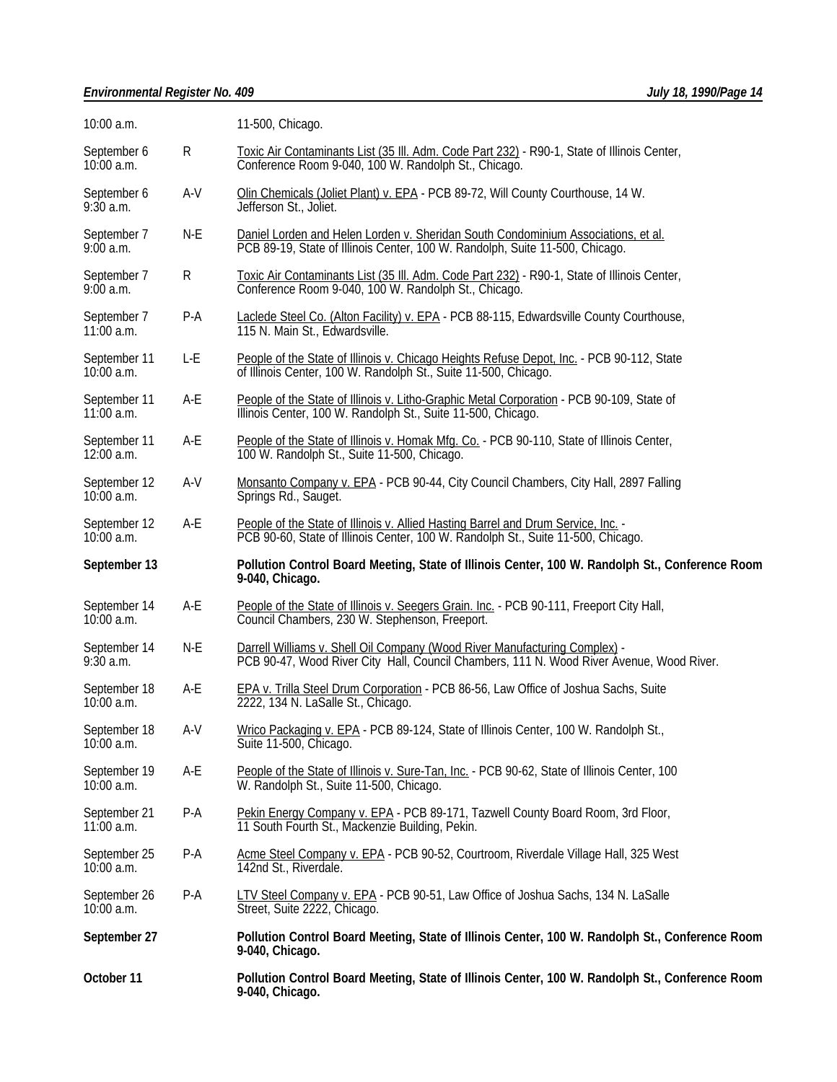# *Environmental Register No. 409 July 18, 1990/Page 14*

| 10:00 a.m.                   |       | 11-500, Chicago.                                                                                                                                                       |  |  |
|------------------------------|-------|------------------------------------------------------------------------------------------------------------------------------------------------------------------------|--|--|
| September 6<br>10:00 a.m.    | R     | Toxic Air Contaminants List (35 III. Adm. Code Part 232) - R90-1, State of Illinois Center,<br>Conference Room 9-040, 100 W. Randolph St., Chicago.                    |  |  |
| September 6<br>$9:30$ a.m.   | $A-V$ | Olin Chemicals (Joliet Plant) v. EPA - PCB 89-72, Will County Courthouse, 14 W.<br>Jefferson St., Joliet.                                                              |  |  |
| September 7<br>$9:00$ a.m.   | N-E   | Daniel Lorden and Helen Lorden v. Sheridan South Condominium Associations, et al.<br>PCB 89-19, State of Illinois Center, 100 W. Randolph, Suite 11-500, Chicago.      |  |  |
| September 7<br>$9:00$ a.m.   | R     | Toxic Air Contaminants List (35 III. Adm. Code Part 232) - R90-1, State of Illinois Center,<br>Conference Room 9-040, 100 W. Randolph St., Chicago.                    |  |  |
| September 7<br>$11:00$ a.m.  | $P-A$ | Laclede Steel Co. (Alton Facility) v. EPA - PCB 88-115, Edwardsville County Courthouse,<br>115 N. Main St., Edwardsville.                                              |  |  |
| September 11<br>$10:00$ a.m. | L-E   | People of the State of Illinois v. Chicago Heights Refuse Depot, Inc. - PCB 90-112, State<br>of Illinois Center, 100 W. Randolph St., Suite 11-500, Chicago.           |  |  |
| September 11<br>$11:00$ a.m. | A-E   | People of the State of Illinois v. Litho-Graphic Metal Corporation - PCB 90-109, State of<br>Illinois Center, 100 W. Randolph St., Suite 11-500, Chicago.              |  |  |
| September 11<br>12:00 a.m.   | A-E   | People of the State of Illinois v. Homak Mfg. Co. - PCB 90-110, State of Illinois Center,<br>100 W. Randolph St., Suite 11-500, Chicago.                               |  |  |
| September 12<br>$10:00$ a.m. | A-V   | Monsanto Company v. EPA - PCB 90-44, City Council Chambers, City Hall, 2897 Falling<br>Springs Rd., Sauget.                                                            |  |  |
| September 12<br>$10:00$ a.m. | A-E   | People of the State of Illinois v. Allied Hasting Barrel and Drum Service, Inc. -<br>PCB 90-60, State of Illinois Center, 100 W. Randolph St., Suite 11-500, Chicago.  |  |  |
|                              |       |                                                                                                                                                                        |  |  |
| September 13                 |       | Pollution Control Board Meeting, State of Illinois Center, 100 W. Randolph St., Conference Room<br>9-040, Chicago.                                                     |  |  |
| September 14<br>$10:00$ a.m. | A-E   | People of the State of Illinois v. Seegers Grain. Inc. - PCB 90-111, Freeport City Hall,<br>Council Chambers, 230 W. Stephenson, Freeport.                             |  |  |
| September 14<br>$9:30$ a.m.  | N-E   | Darrell Williams v. Shell Oil Company (Wood River Manufacturing Complex) -<br>PCB 90-47, Wood River City Hall, Council Chambers, 111 N. Wood River Avenue, Wood River. |  |  |
| September 18<br>$10:00$ a.m. | A-E   | EPA v. Trilla Steel Drum Corporation - PCB 86-56, Law Office of Joshua Sachs, Suite<br>2222, 134 N. LaSalle St., Chicago.                                              |  |  |
| September 18<br>$10:00$ a.m. | A-V   | Wrico Packaging v. EPA - PCB 89-124, State of Illinois Center, 100 W. Randolph St.,<br>Suite 11-500, Chicago.                                                          |  |  |
| September 19<br>$10:00$ a.m. | A-E   | People of the State of Illinois v. Sure-Tan, Inc. - PCB 90-62, State of Illinois Center, 100<br>W. Randolph St., Suite 11-500, Chicago.                                |  |  |
| September 21<br>$11:00$ a.m. | $P-A$ | Pekin Energy Company v. EPA - PCB 89-171, Tazwell County Board Room, 3rd Floor,<br>11 South Fourth St., Mackenzie Building, Pekin.                                     |  |  |
| September 25<br>10:00 a.m.   | P-A   | Acme Steel Company v. EPA - PCB 90-52, Courtroom, Riverdale Village Hall, 325 West<br>142nd St., Riverdale.                                                            |  |  |
| September 26<br>10:00 a.m.   | $P-A$ | LTV Steel Company v. EPA - PCB 90-51, Law Office of Joshua Sachs, 134 N. LaSalle<br>Street, Suite 2222, Chicago.                                                       |  |  |
| September 27                 |       | Pollution Control Board Meeting, State of Illinois Center, 100 W. Randolph St., Conference Room<br>9-040, Chicago.                                                     |  |  |